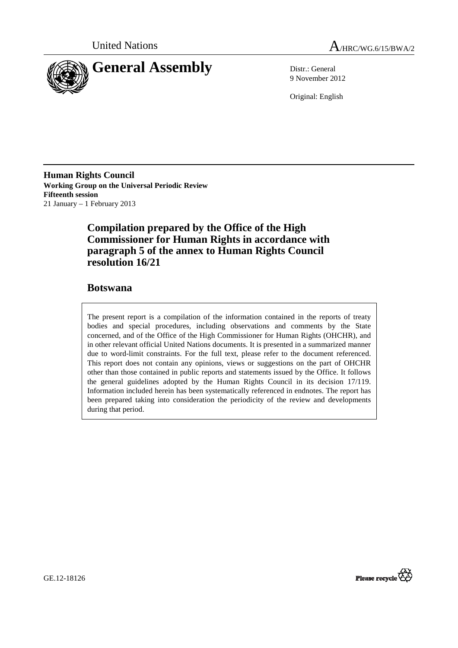

9 November 2012

Original: English

**Human Rights Council Working Group on the Universal Periodic Review Fifteenth session**  21 January – 1 February 2013

# **Compilation prepared by the Office of the High Commissioner for Human Rights in accordance with paragraph 5 of the annex to Human Rights Council resolution 16/21**

# **Botswana**

The present report is a compilation of the information contained in the reports of treaty bodies and special procedures, including observations and comments by the State concerned, and of the Office of the High Commissioner for Human Rights (OHCHR), and in other relevant official United Nations documents. It is presented in a summarized manner due to word-limit constraints. For the full text, please refer to the document referenced. This report does not contain any opinions, views or suggestions on the part of OHCHR other than those contained in public reports and statements issued by the Office. It follows the general guidelines adopted by the Human Rights Council in its decision 17/119. Information included herein has been systematically referenced in endnotes. The report has been prepared taking into consideration the periodicity of the review and developments during that period.



GE.12-18126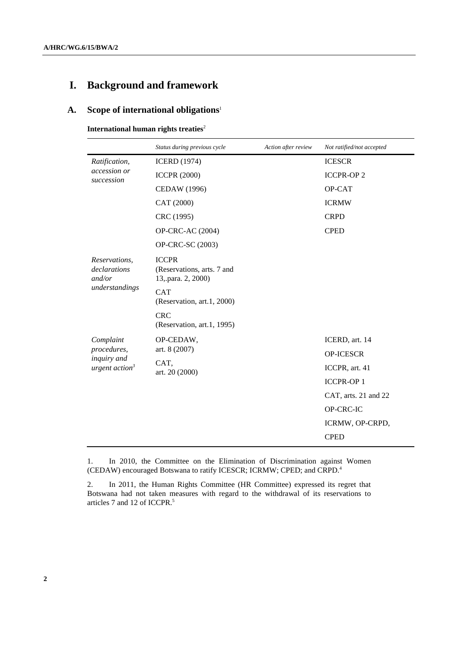# **I. Background and framework**

# **A. Scope of international obligations**<sup>1</sup>

 **International human rights treaties**<sup>2</sup>

|                                                                       | Status during previous cycle                                     | Action after review | Not ratified/not accepted |
|-----------------------------------------------------------------------|------------------------------------------------------------------|---------------------|---------------------------|
| Ratification,<br>accession or<br>succession                           | <b>ICERD</b> (1974)                                              |                     | <b>ICESCR</b>             |
|                                                                       | <b>ICCPR (2000)</b>                                              |                     | <b>ICCPR-OP2</b>          |
|                                                                       | <b>CEDAW</b> (1996)                                              |                     | OP-CAT                    |
|                                                                       | CAT (2000)                                                       |                     | <b>ICRMW</b>              |
|                                                                       | CRC (1995)                                                       |                     | <b>CRPD</b>               |
|                                                                       | <b>OP-CRC-AC (2004)</b>                                          |                     | <b>CPED</b>               |
|                                                                       | OP-CRC-SC (2003)                                                 |                     |                           |
| Reservations,<br>declarations<br>and/or<br>understandings             | <b>ICCPR</b><br>(Reservations, arts. 7 and<br>13, para. 2, 2000) |                     |                           |
|                                                                       | <b>CAT</b><br>(Reservation, art.1, 2000)                         |                     |                           |
|                                                                       | <b>CRC</b><br>(Reservation, art.1, 1995)                         |                     |                           |
| Complaint<br>procedures,<br>inquiry and<br>urgent action <sup>3</sup> | OP-CEDAW,                                                        |                     | ICERD, art. 14            |
|                                                                       | art. 8 (2007)<br>CAT,<br>art. 20 (2000)                          |                     | <b>OP-ICESCR</b>          |
|                                                                       |                                                                  |                     | ICCPR, art. 41            |
|                                                                       |                                                                  |                     | <b>ICCPR-OP1</b>          |
|                                                                       |                                                                  |                     | CAT, arts. 21 and 22      |
|                                                                       |                                                                  |                     | OP-CRC-IC                 |
|                                                                       |                                                                  |                     | ICRMW, OP-CRPD,           |
|                                                                       |                                                                  |                     | <b>CPED</b>               |

1. In 2010, the Committee on the Elimination of Discrimination against Women (CEDAW) encouraged Botswana to ratify ICESCR; ICRMW; CPED; and CRPD.<sup>4</sup>

2. In 2011, the Human Rights Committee (HR Committee) expressed its regret that Botswana had not taken measures with regard to the withdrawal of its reservations to articles 7 and 12 of ICCPR.<sup>5</sup>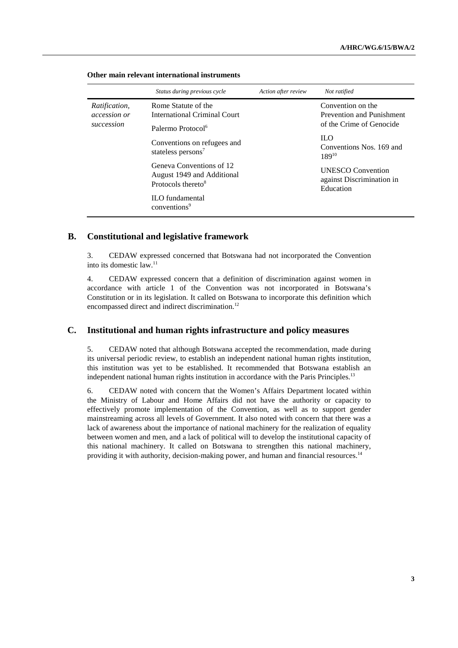|                                                           | Status during previous cycle                                                             | Action after review      | Not ratified                                                       |
|-----------------------------------------------------------|------------------------------------------------------------------------------------------|--------------------------|--------------------------------------------------------------------|
| <i>Ratification,</i><br><i>accession or</i><br>succession | Rome Statute of the<br>International Criminal Court                                      |                          | Convention on the<br><b>Prevention and Punishment</b>              |
|                                                           | Palermo Protocol <sup>6</sup>                                                            | of the Crime of Genocide |                                                                    |
|                                                           | Conventions on refugees and<br>stateless persons <sup>7</sup>                            |                          | $\mathbf{H}.\mathbf{O}$<br>Conventions Nos. 169 and<br>$189^{10}$  |
|                                                           | Geneva Conventions of 12<br>August 1949 and Additional<br>Protocols thereto <sup>8</sup> |                          | <b>UNESCO</b> Convention<br>against Discrimination in<br>Education |
|                                                           | <b>ILO</b> fundamental<br>conventions <sup>9</sup>                                       |                          |                                                                    |

### **Other main relevant international instruments**

# **B. Constitutional and legislative framework**

3. CEDAW expressed concerned that Botswana had not incorporated the Convention into its domestic law.<sup>11</sup>

4. CEDAW expressed concern that a definition of discrimination against women in accordance with article 1 of the Convention was not incorporated in Botswana's Constitution or in its legislation. It called on Botswana to incorporate this definition which encompassed direct and indirect discrimination.<sup>12</sup>

# **C. Institutional and human rights infrastructure and policy measures**

5. CEDAW noted that although Botswana accepted the recommendation, made during its universal periodic review, to establish an independent national human rights institution, this institution was yet to be established. It recommended that Botswana establish an independent national human rights institution in accordance with the Paris Principles.<sup>13</sup>

6. CEDAW noted with concern that the Women's Affairs Department located within the Ministry of Labour and Home Affairs did not have the authority or capacity to effectively promote implementation of the Convention, as well as to support gender mainstreaming across all levels of Government. It also noted with concern that there was a lack of awareness about the importance of national machinery for the realization of equality between women and men, and a lack of political will to develop the institutional capacity of this national machinery. It called on Botswana to strengthen this national machinery, providing it with authority, decision-making power, and human and financial resources.<sup>14</sup>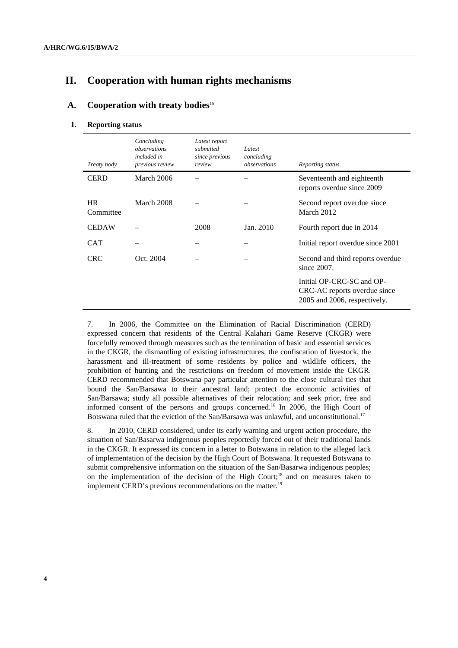# **II. Cooperation with human rights mechanisms**

# **A.** Cooperation with treaty bodies<sup>15</sup>

#### **1. Reporting status**

| Treaty body            | Concluding<br>observations<br>included in<br>previous review | Latest report<br>submitted<br>since previous<br>review | Latest<br>concluding<br>observations | Reporting status                                                                          |
|------------------------|--------------------------------------------------------------|--------------------------------------------------------|--------------------------------------|-------------------------------------------------------------------------------------------|
| <b>CERD</b>            | March 2006                                                   |                                                        |                                      | Seventeenth and eighteenth<br>reports overdue since 2009                                  |
| <b>HR</b><br>Committee | March 2008                                                   |                                                        |                                      | Second report overdue since<br>March 2012                                                 |
| <b>CEDAW</b>           |                                                              | 2008                                                   | Jan. 2010                            | Fourth report due in 2014                                                                 |
| <b>CAT</b>             |                                                              |                                                        |                                      | Initial report overdue since 2001                                                         |
| <b>CRC</b>             | Oct. 2004                                                    |                                                        |                                      | Second and third reports overdue<br>since $2007$ .                                        |
|                        |                                                              |                                                        |                                      | Initial OP-CRC-SC and OP-<br>CRC-AC reports overdue since<br>2005 and 2006, respectively. |

7. In 2006, the Committee on the Elimination of Racial Discrimination (CERD) expressed concern that residents of the Central Kalahari Game Reserve (CKGR) were forcefully removed through measures such as the termination of basic and essential services in the CKGR, the dismantling of existing infrastructures, the confiscation of livestock, the harassment and ill-treatment of some residents by police and wildlife officers, the prohibition of hunting and the restrictions on freedom of movement inside the CKGR. CERD recommended that Botswana pay particular attention to the close cultural ties that bound the San/Barsawa to their ancestral land; protect the economic activities of San/Barsawa; study all possible alternatives of their relocation; and seek prior, free and informed consent of the persons and groups concerned.<sup>16</sup> In 2006, the High Court of Botswana ruled that the eviction of the San/Barsawa was unlawful, and unconstitutional.<sup>17</sup>

8. In 2010, CERD considered, under its early warning and urgent action procedure, the situation of San/Basarwa indigenous peoples reportedly forced out of their traditional lands in the CKGR. It expressed its concern in a letter to Botswana in relation to the alleged lack of implementation of the decision by the High Court of Botswana. It requested Botswana to submit comprehensive information on the situation of the San/Basarwa indigenous peoples; on the implementation of the decision of the High Court;<sup>18</sup> and on measures taken to implement CERD's previous recommendations on the matter.<sup>19</sup>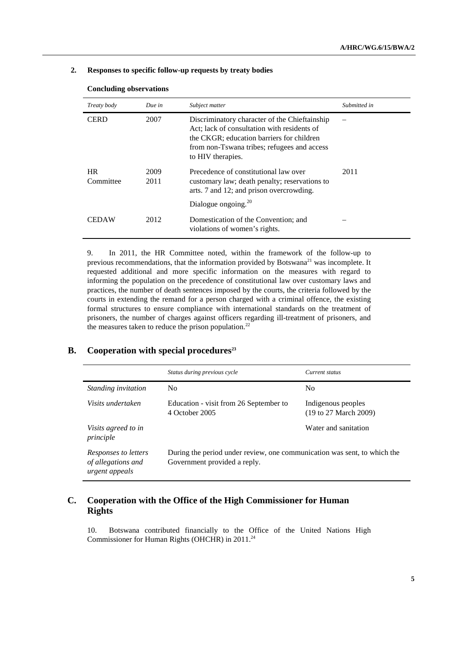### **2. Responses to specific follow-up requests by treaty bodies**

| Treaty body            | Due in       | Subject matter                                                                                                                                                                                                | Submitted in |
|------------------------|--------------|---------------------------------------------------------------------------------------------------------------------------------------------------------------------------------------------------------------|--------------|
| <b>CERD</b>            | 2007         | Discriminatory character of the Chieftainship<br>Act: lack of consultation with residents of<br>the CKGR; education barriers for children<br>from non-Tswana tribes; refugees and access<br>to HIV therapies. |              |
| <b>HR</b><br>Committee | 2009<br>2011 | Precedence of constitutional law over<br>customary law; death penalty; reservations to<br>arts. 7 and 12; and prison overcrowding.<br>Dialogue ongoing. $^{20}$                                               | 2011         |
| <b>CEDAW</b>           | 2012         | Domestication of the Convention; and<br>violations of women's rights.                                                                                                                                         |              |

#### **Concluding observations**

9. In 2011, the HR Committee noted, within the framework of the follow-up to previous recommendations, that the information provided by Botswana<sup>21</sup> was incomplete. It requested additional and more specific information on the measures with regard to informing the population on the precedence of constitutional law over customary laws and practices, the number of death sentences imposed by the courts, the criteria followed by the courts in extending the remand for a person charged with a criminal offence, the existing formal structures to ensure compliance with international standards on the treatment of prisoners, the number of charges against officers regarding ill-treatment of prisoners, and the measures taken to reduce the prison population.<sup>22</sup>

# **B. Cooperation with special procedures<sup>23</sup>**

|                                                              | Status during previous cycle                                                                             | Current status                                                  |
|--------------------------------------------------------------|----------------------------------------------------------------------------------------------------------|-----------------------------------------------------------------|
| <i>Standing invitation</i>                                   | N <sub>0</sub>                                                                                           | No.                                                             |
| Visits undertaken                                            | Education - visit from 26 September to<br>4 October 2005                                                 | Indigenous peoples<br>$(19 \text{ to } 27 \text{ March } 2009)$ |
| Visits agreed to in<br>principle                             |                                                                                                          | Water and sanitation                                            |
| Responses to letters<br>of allegations and<br>urgent appeals | During the period under review, one communication was sent, to which the<br>Government provided a reply. |                                                                 |

# **C. Cooperation with the Office of the High Commissioner for Human Rights**

10. Botswana contributed financially to the Office of the United Nations High Commissioner for Human Rights (OHCHR) in 2011.24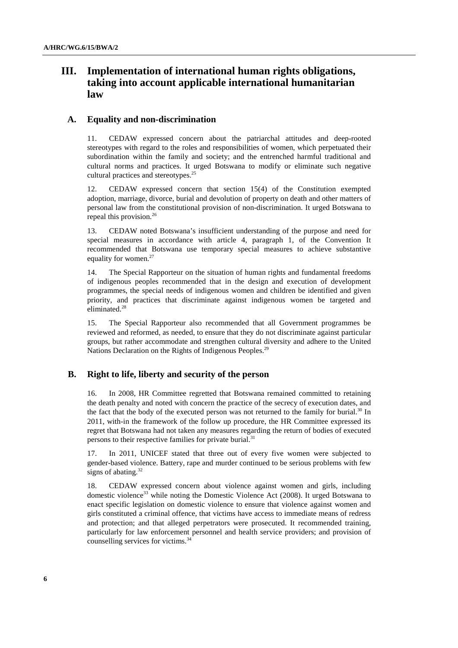# **III. Implementation of international human rights obligations, taking into account applicable international humanitarian law**

### **A. Equality and non-discrimination**

11. CEDAW expressed concern about the patriarchal attitudes and deep-rooted stereotypes with regard to the roles and responsibilities of women, which perpetuated their subordination within the family and society; and the entrenched harmful traditional and cultural norms and practices. It urged Botswana to modify or eliminate such negative cultural practices and stereotypes.<sup>25</sup>

12. CEDAW expressed concern that section 15(4) of the Constitution exempted adoption, marriage, divorce, burial and devolution of property on death and other matters of personal law from the constitutional provision of non-discrimination. It urged Botswana to repeal this provision.<sup>26</sup>

13. CEDAW noted Botswana's insufficient understanding of the purpose and need for special measures in accordance with article 4, paragraph 1, of the Convention It recommended that Botswana use temporary special measures to achieve substantive equality for women.<sup>27</sup>

14. The Special Rapporteur on the situation of human rights and fundamental freedoms of indigenous peoples recommended that in the design and execution of development programmes, the special needs of indigenous women and children be identified and given priority, and practices that discriminate against indigenous women be targeted and eliminated.<sup>28</sup>

15. The Special Rapporteur also recommended that all Government programmes be reviewed and reformed, as needed, to ensure that they do not discriminate against particular groups, but rather accommodate and strengthen cultural diversity and adhere to the United Nations Declaration on the Rights of Indigenous Peoples.<sup>29</sup>

### **B. Right to life, liberty and security of the person**

16. In 2008, HR Committee regretted that Botswana remained committed to retaining the death penalty and noted with concern the practice of the secrecy of execution dates, and the fact that the body of the executed person was not returned to the family for burial.<sup>30</sup> In 2011, with-in the framework of the follow up procedure, the HR Committee expressed its regret that Botswana had not taken any measures regarding the return of bodies of executed persons to their respective families for private burial.<sup>31</sup>

17. In 2011, UNICEF stated that three out of every five women were subjected to gender-based violence. Battery, rape and murder continued to be serious problems with few signs of abating. $32$ 

18. CEDAW expressed concern about violence against women and girls, including domestic violence<sup>33</sup> while noting the Domestic Violence Act (2008). It urged Botswana to enact specific legislation on domestic violence to ensure that violence against women and girls constituted a criminal offence, that victims have access to immediate means of redress and protection; and that alleged perpetrators were prosecuted. It recommended training, particularly for law enforcement personnel and health service providers; and provision of counselling services for victims.<sup>34</sup>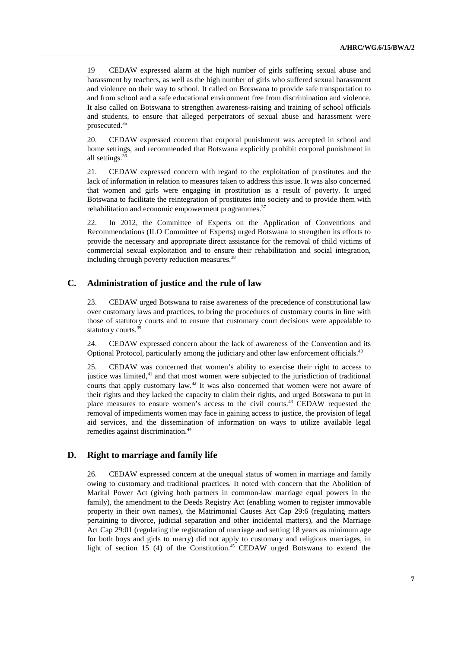19 CEDAW expressed alarm at the high number of girls suffering sexual abuse and harassment by teachers, as well as the high number of girls who suffered sexual harassment and violence on their way to school. It called on Botswana to provide safe transportation to and from school and a safe educational environment free from discrimination and violence. It also called on Botswana to strengthen awareness-raising and training of school officials and students, to ensure that alleged perpetrators of sexual abuse and harassment were prosecuted.<sup>35</sup>

20. CEDAW expressed concern that corporal punishment was accepted in school and home settings, and recommended that Botswana explicitly prohibit corporal punishment in all settings.<sup>36</sup>

21. CEDAW expressed concern with regard to the exploitation of prostitutes and the lack of information in relation to measures taken to address this issue. It was also concerned that women and girls were engaging in prostitution as a result of poverty. It urged Botswana to facilitate the reintegration of prostitutes into society and to provide them with rehabilitation and economic empowerment programmes.<sup>37</sup>

22. In 2012, the Committee of Experts on the Application of Conventions and Recommendations (ILO Committee of Experts) urged Botswana to strengthen its efforts to provide the necessary and appropriate direct assistance for the removal of child victims of commercial sexual exploitation and to ensure their rehabilitation and social integration, including through poverty reduction measures.<sup>38</sup>

### **C. Administration of justice and the rule of law**

23. CEDAW urged Botswana to raise awareness of the precedence of constitutional law over customary laws and practices, to bring the procedures of customary courts in line with those of statutory courts and to ensure that customary court decisions were appealable to statutory courts.<sup>39</sup>

24. CEDAW expressed concern about the lack of awareness of the Convention and its Optional Protocol, particularly among the judiciary and other law enforcement officials.<sup>40</sup>

25. CEDAW was concerned that women's ability to exercise their right to access to justice was limited, $41$  and that most women were subjected to the jurisdiction of traditional courts that apply customary law.<sup>42</sup> It was also concerned that women were not aware of their rights and they lacked the capacity to claim their rights, and urged Botswana to put in place measures to ensure women's access to the civil courts.<sup>43</sup> CEDAW requested the removal of impediments women may face in gaining access to justice, the provision of legal aid services, and the dissemination of information on ways to utilize available legal remedies against discrimination.<sup>44</sup>

### **D. Right to marriage and family life**

26. CEDAW expressed concern at the unequal status of women in marriage and family owing to customary and traditional practices. It noted with concern that the Abolition of Marital Power Act (giving both partners in common-law marriage equal powers in the family), the amendment to the Deeds Registry Act (enabling women to register immovable property in their own names), the Matrimonial Causes Act Cap 29:6 (regulating matters pertaining to divorce, judicial separation and other incidental matters), and the Marriage Act Cap 29:01 (regulating the registration of marriage and setting 18 years as minimum age for both boys and girls to marry) did not apply to customary and religious marriages, in light of section 15 (4) of the Constitution.<sup>45</sup> CEDAW urged Botswana to extend the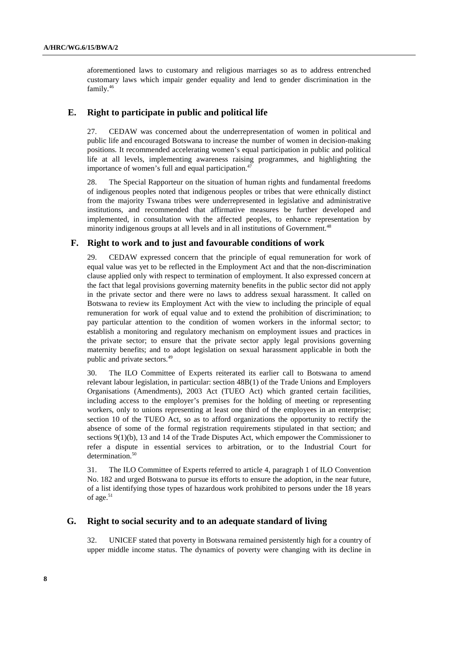aforementioned laws to customary and religious marriages so as to address entrenched customary laws which impair gender equality and lend to gender discrimination in the family.<sup>46</sup>

### **E. Right to participate in public and political life**

27. CEDAW was concerned about the underrepresentation of women in political and public life and encouraged Botswana to increase the number of women in decision-making positions. It recommended accelerating women's equal participation in public and political life at all levels, implementing awareness raising programmes, and highlighting the importance of women's full and equal participation.<sup>47</sup>

28. The Special Rapporteur on the situation of human rights and fundamental freedoms of indigenous peoples noted that indigenous peoples or tribes that were ethnically distinct from the majority Tswana tribes were underrepresented in legislative and administrative institutions, and recommended that affirmative measures be further developed and implemented, in consultation with the affected peoples, to enhance representation by minority indigenous groups at all levels and in all institutions of Government.<sup>48</sup>

#### **F. Right to work and to just and favourable conditions of work**

29. CEDAW expressed concern that the principle of equal remuneration for work of equal value was yet to be reflected in the Employment Act and that the non-discrimination clause applied only with respect to termination of employment. It also expressed concern at the fact that legal provisions governing maternity benefits in the public sector did not apply in the private sector and there were no laws to address sexual harassment. It called on Botswana to review its Employment Act with the view to including the principle of equal remuneration for work of equal value and to extend the prohibition of discrimination; to pay particular attention to the condition of women workers in the informal sector; to establish a monitoring and regulatory mechanism on employment issues and practices in the private sector; to ensure that the private sector apply legal provisions governing maternity benefits; and to adopt legislation on sexual harassment applicable in both the public and private sectors.<sup>49</sup>

30. The ILO Committee of Experts reiterated its earlier call to Botswana to amend relevant labour legislation, in particular: section 48B(1) of the Trade Unions and Employers Organisations (Amendments), 2003 Act (TUEO Act) which granted certain facilities, including access to the employer's premises for the holding of meeting or representing workers, only to unions representing at least one third of the employees in an enterprise; section 10 of the TUEO Act, so as to afford organizations the opportunity to rectify the absence of some of the formal registration requirements stipulated in that section; and sections 9(1)(b), 13 and 14 of the Trade Disputes Act, which empower the Commissioner to refer a dispute in essential services to arbitration, or to the Industrial Court for determination.<sup>50</sup>

31. The ILO Committee of Experts referred to article 4, paragraph 1 of ILO Convention No. 182 and urged Botswana to pursue its efforts to ensure the adoption, in the near future, of a list identifying those types of hazardous work prohibited to persons under the 18 years of age.<sup>51</sup>

## **G. Right to social security and to an adequate standard of living**

32. UNICEF stated that poverty in Botswana remained persistently high for a country of upper middle income status. The dynamics of poverty were changing with its decline in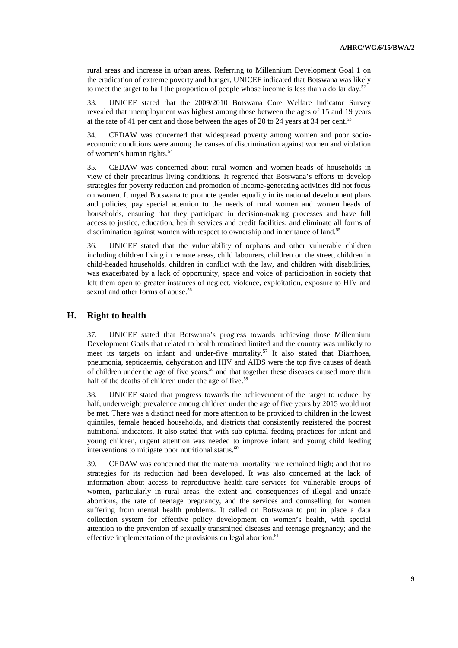rural areas and increase in urban areas. Referring to Millennium Development Goal 1 on the eradication of extreme poverty and hunger, UNICEF indicated that Botswana was likely to meet the target to half the proportion of people whose income is less than a dollar day.<sup>52</sup>

33. UNICEF stated that the 2009/2010 Botswana Core Welfare Indicator Survey revealed that unemployment was highest among those between the ages of 15 and 19 years at the rate of 41 per cent and those between the ages of 20 to 24 years at 34 per cent.<sup>53</sup>

34. CEDAW was concerned that widespread poverty among women and poor socioeconomic conditions were among the causes of discrimination against women and violation of women's human rights.<sup>54</sup>

35. CEDAW was concerned about rural women and women-heads of households in view of their precarious living conditions. It regretted that Botswana's efforts to develop strategies for poverty reduction and promotion of income-generating activities did not focus on women. It urged Botswana to promote gender equality in its national development plans and policies, pay special attention to the needs of rural women and women heads of households, ensuring that they participate in decision-making processes and have full access to justice, education, health services and credit facilities; and eliminate all forms of discrimination against women with respect to ownership and inheritance of land.<sup>55</sup>

36. UNICEF stated that the vulnerability of orphans and other vulnerable children including children living in remote areas, child labourers, children on the street, children in child-headed households, children in conflict with the law, and children with disabilities, was exacerbated by a lack of opportunity, space and voice of participation in society that left them open to greater instances of neglect, violence, exploitation, exposure to HIV and sexual and other forms of abuse.<sup>56</sup>

# **H. Right to health**

37. UNICEF stated that Botswana's progress towards achieving those Millennium Development Goals that related to health remained limited and the country was unlikely to meet its targets on infant and under-five mortality.<sup>57</sup> It also stated that Diarrhoea, pneumonia, septicaemia, dehydration and HIV and AIDS were the top five causes of death of children under the age of five years,<sup>58</sup> and that together these diseases caused more than half of the deaths of children under the age of five.<sup>59</sup>

38. UNICEF stated that progress towards the achievement of the target to reduce, by half, underweight prevalence among children under the age of five years by 2015 would not be met. There was a distinct need for more attention to be provided to children in the lowest quintiles, female headed households, and districts that consistently registered the poorest nutritional indicators. It also stated that with sub-optimal feeding practices for infant and young children, urgent attention was needed to improve infant and young child feeding interventions to mitigate poor nutritional status. $60$ 

39. CEDAW was concerned that the maternal mortality rate remained high; and that no strategies for its reduction had been developed. It was also concerned at the lack of information about access to reproductive health-care services for vulnerable groups of women, particularly in rural areas, the extent and consequences of illegal and unsafe abortions, the rate of teenage pregnancy, and the services and counselling for women suffering from mental health problems. It called on Botswana to put in place a data collection system for effective policy development on women's health, with special attention to the prevention of sexually transmitted diseases and teenage pregnancy; and the effective implementation of the provisions on legal abortion. $61$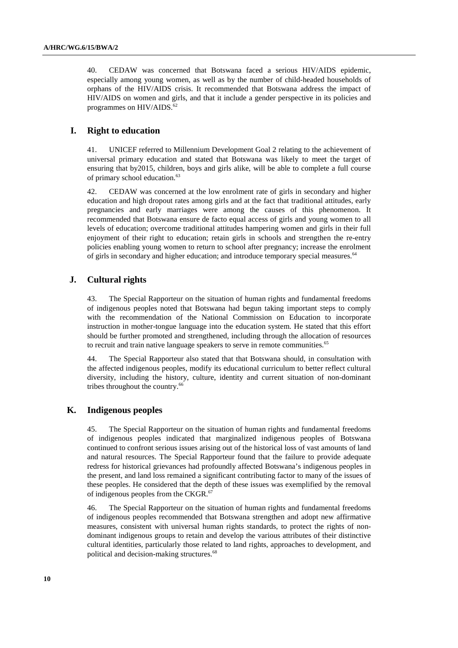40. CEDAW was concerned that Botswana faced a serious HIV/AIDS epidemic, especially among young women, as well as by the number of child-headed households of orphans of the HIV/AIDS crisis. It recommended that Botswana address the impact of HIV/AIDS on women and girls, and that it include a gender perspective in its policies and programmes on HIV/AIDS.<sup>62</sup>

### **I. Right to education**

41. UNICEF referred to Millennium Development Goal 2 relating to the achievement of universal primary education and stated that Botswana was likely to meet the target of ensuring that by2015, children, boys and girls alike, will be able to complete a full course of primary school education.<sup>63</sup>

42. CEDAW was concerned at the low enrolment rate of girls in secondary and higher education and high dropout rates among girls and at the fact that traditional attitudes, early pregnancies and early marriages were among the causes of this phenomenon. It recommended that Botswana ensure de facto equal access of girls and young women to all levels of education; overcome traditional attitudes hampering women and girls in their full enjoyment of their right to education; retain girls in schools and strengthen the re-entry policies enabling young women to return to school after pregnancy; increase the enrolment of girls in secondary and higher education; and introduce temporary special measures.<sup>64</sup>

### **J. Cultural rights**

43. The Special Rapporteur on the situation of human rights and fundamental freedoms of indigenous peoples noted that Botswana had begun taking important steps to comply with the recommendation of the National Commission on Education to incorporate instruction in mother-tongue language into the education system. He stated that this effort should be further promoted and strengthened, including through the allocation of resources to recruit and train native language speakers to serve in remote communities.<sup>65</sup>

44. The Special Rapporteur also stated that that Botswana should, in consultation with the affected indigenous peoples, modify its educational curriculum to better reflect cultural diversity, including the history, culture, identity and current situation of non-dominant tribes throughout the country.<sup>66</sup>

# **K. Indigenous peoples**

45. The Special Rapporteur on the situation of human rights and fundamental freedoms of indigenous peoples indicated that marginalized indigenous peoples of Botswana continued to confront serious issues arising out of the historical loss of vast amounts of land and natural resources. The Special Rapporteur found that the failure to provide adequate redress for historical grievances had profoundly affected Botswana's indigenous peoples in the present, and land loss remained a significant contributing factor to many of the issues of these peoples. He considered that the depth of these issues was exemplified by the removal of indigenous peoples from the CKGR.<sup>67</sup>

46. The Special Rapporteur on the situation of human rights and fundamental freedoms of indigenous peoples recommended that Botswana strengthen and adopt new affirmative measures, consistent with universal human rights standards, to protect the rights of nondominant indigenous groups to retain and develop the various attributes of their distinctive cultural identities, particularly those related to land rights, approaches to development, and political and decision-making structures.<sup>68</sup>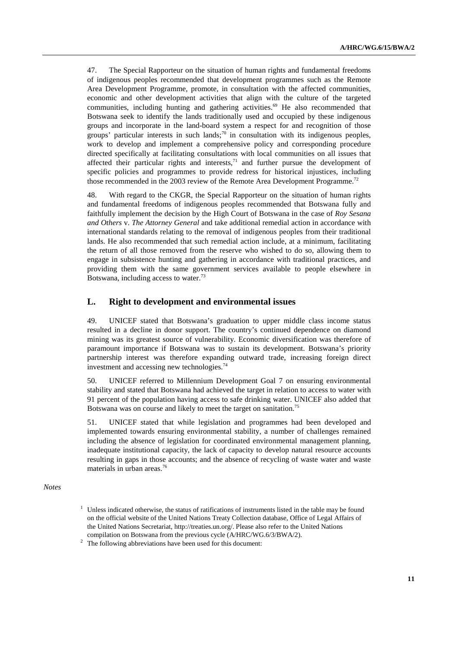47. The Special Rapporteur on the situation of human rights and fundamental freedoms of indigenous peoples recommended that development programmes such as the Remote Area Development Programme, promote, in consultation with the affected communities, economic and other development activities that align with the culture of the targeted communities, including hunting and gathering activities.<sup>69</sup> He also recommended that Botswana seek to identify the lands traditionally used and occupied by these indigenous groups and incorporate in the land-board system a respect for and recognition of those groups' particular interests in such lands;<sup>70</sup> in consultation with its indigenous peoples, work to develop and implement a comprehensive policy and corresponding procedure directed specifically at facilitating consultations with local communities on all issues that affected their particular rights and interests, $^{71}$  and further pursue the development of specific policies and programmes to provide redress for historical injustices, including those recommended in the 2003 review of the Remote Area Development Programme.<sup>72</sup>

48. With regard to the CKGR, the Special Rapporteur on the situation of human rights and fundamental freedoms of indigenous peoples recommended that Botswana fully and faithfully implement the decision by the High Court of Botswana in the case of *Roy Sesana and Others* v. *The Attorney General* and take additional remedial action in accordance with international standards relating to the removal of indigenous peoples from their traditional lands. He also recommended that such remedial action include, at a minimum, facilitating the return of all those removed from the reserve who wished to do so, allowing them to engage in subsistence hunting and gathering in accordance with traditional practices, and providing them with the same government services available to people elsewhere in Botswana, including access to water.<sup>73</sup>

### **L. Right to development and environmental issues**

49. UNICEF stated that Botswana's graduation to upper middle class income status resulted in a decline in donor support. The country's continued dependence on diamond mining was its greatest source of vulnerability. Economic diversification was therefore of paramount importance if Botswana was to sustain its development. Botswana's priority partnership interest was therefore expanding outward trade, increasing foreign direct investment and accessing new technologies.<sup>74</sup>

50. UNICEF referred to Millennium Development Goal 7 on ensuring environmental stability and stated that Botswana had achieved the target in relation to access to water with 91 percent of the population having access to safe drinking water. UNICEF also added that Botswana was on course and likely to meet the target on sanitation.<sup>75</sup>

51. UNICEF stated that while legislation and programmes had been developed and implemented towards ensuring environmental stability, a number of challenges remained including the absence of legislation for coordinated environmental management planning, inadequate institutional capacity, the lack of capacity to develop natural resource accounts resulting in gaps in those accounts; and the absence of recycling of waste water and waste materials in urban areas.<sup>76</sup>

*Notes* 

 $1$  Unless indicated otherwise, the status of ratifications of instruments listed in the table may be found on the official website of the United Nations Treaty Collection database, Office of Legal Affairs of the United Nations Secretariat, http://treaties.un.org/. Please also refer to the United Nations compilation on Botswana from the previous cycle (A/HRC/WG.6/3/BWA/2).

 $2$  The following abbreviations have been used for this document: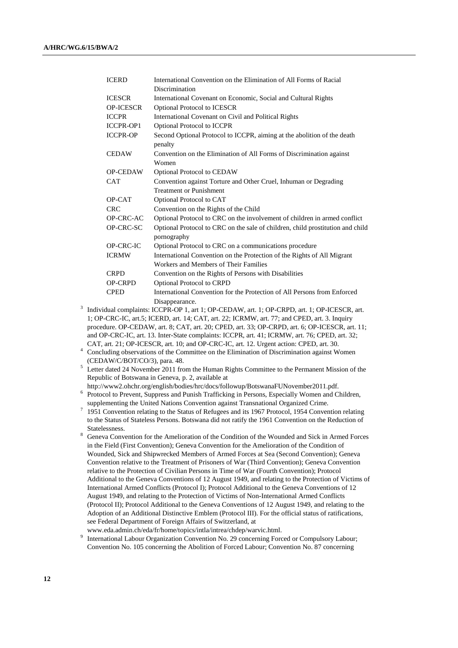| <b>ICERD</b>     | International Convention on the Elimination of All Forms of Racial                            |
|------------------|-----------------------------------------------------------------------------------------------|
|                  | Discrimination                                                                                |
| <b>ICESCR</b>    | International Covenant on Economic, Social and Cultural Rights                                |
| <b>OP-ICESCR</b> | Optional Protocol to ICESCR                                                                   |
| <b>ICCPR</b>     | International Covenant on Civil and Political Rights                                          |
| <b>ICCPR-OP1</b> | Optional Protocol to ICCPR                                                                    |
| <b>ICCPR-OP</b>  | Second Optional Protocol to ICCPR, aiming at the abolition of the death                       |
|                  | penalty                                                                                       |
| <b>CEDAW</b>     | Convention on the Elimination of All Forms of Discrimination against                          |
|                  | Women                                                                                         |
| <b>OP-CEDAW</b>  | Optional Protocol to CEDAW                                                                    |
| <b>CAT</b>       | Convention against Torture and Other Cruel, Inhuman or Degrading                              |
|                  | <b>Treatment or Punishment</b>                                                                |
| OP-CAT           | Optional Protocol to CAT                                                                      |
| <b>CRC</b>       | Convention on the Rights of the Child                                                         |
| OP-CRC-AC        | Optional Protocol to CRC on the involvement of children in armed conflict                     |
| OP-CRC-SC        | Optional Protocol to CRC on the sale of children, child prostitution and child<br>pornography |
| OP-CRC-IC        | Optional Protocol to CRC on a communications procedure                                        |
| <b>ICRMW</b>     | International Convention on the Protection of the Rights of All Migrant                       |
|                  | Workers and Members of Their Families                                                         |
| <b>CRPD</b>      | Convention on the Rights of Persons with Disabilities                                         |
| <b>OP-CRPD</b>   | <b>Optional Protocol to CRPD</b>                                                              |
| <b>CPED</b>      | International Convention for the Protection of All Persons from Enforced                      |
|                  | Disappearance.                                                                                |

3 Individual complaints: ICCPR-OP 1, art 1; OP-CEDAW, art. 1; OP-CRPD, art. 1; OP-ICESCR, art. 1; OP-CRC-IC, art.5; ICERD, art. 14; CAT, art. 22; ICRMW, art. 77; and CPED, art. 3. Inquiry procedure. OP-CEDAW, art. 8; CAT, art. 20; CPED, art. 33; OP-CRPD, art. 6; OP-ICESCR, art. 11; and OP-CRC-IC, art. 13. Inter-State complaints: ICCPR, art. 41; ICRMW, art. 76; CPED, art. 32; CAT, art. 21; OP-ICESCR, art. 10; and OP-CRC-IC, art. 12. Urgent action: CPED, art. 30.

<sup>4</sup> Concluding observations of the Committee on the Elimination of Discrimination against Women (CEDAW/C/BOT/CO/3), para. 48.

- <sup>5</sup> Letter dated 24 November 2011 from the Human Rights Committee to the Permanent Mission of the Republic of Botswana in Geneva, p. 2, available at
- http://www2.ohchr.org/english/bodies/hrc/docs/followup/BotswanaFUNovember2011.pdf. <sup>6</sup> Protocol to Prevent, Suppress and Punish Trafficking in Persons, Especially Women and Children,
- supplementing the United Nations Convention against Transnational Organized Crime.
- $7$  1951 Convention relating to the Status of Refugees and its 1967 Protocol, 1954 Convention relating to the Status of Stateless Persons. Botswana did not ratify the 1961 Convention on the Reduction of Statelessness.
- <sup>8</sup> Geneva Convention for the Amelioration of the Condition of the Wounded and Sick in Armed Forces in the Field (First Convention); Geneva Convention for the Amelioration of the Condition of Wounded, Sick and Shipwrecked Members of Armed Forces at Sea (Second Convention); Geneva Convention relative to the Treatment of Prisoners of War (Third Convention); Geneva Convention relative to the Protection of Civilian Persons in Time of War (Fourth Convention); Protocol Additional to the Geneva Conventions of 12 August 1949, and relating to the Protection of Victims of International Armed Conflicts (Protocol I); Protocol Additional to the Geneva Conventions of 12 August 1949, and relating to the Protection of Victims of Non-International Armed Conflicts (Protocol II); Protocol Additional to the Geneva Conventions of 12 August 1949, and relating to the Adoption of an Additional Distinctive Emblem (Protocol III). For the official status of ratifications, see Federal Department of Foreign Affairs of Switzerland, at www.eda.admin.ch/eda/fr/home/topics/intla/intrea/chdep/warvic.html.
- 9 International Labour Organization Convention No. 29 concerning Forced or Compulsory Labour; Convention No. 105 concerning the Abolition of Forced Labour; Convention No. 87 concerning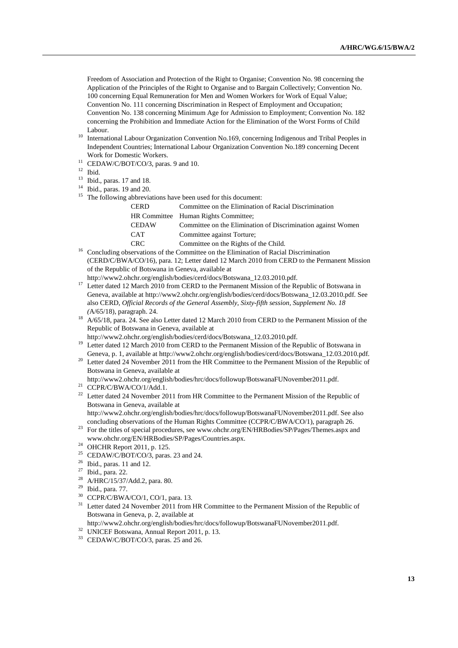Freedom of Association and Protection of the Right to Organise; Convention No. 98 concerning the Application of the Principles of the Right to Organise and to Bargain Collectively; Convention No. 100 concerning Equal Remuneration for Men and Women Workers for Work of Equal Value; Convention No. 111 concerning Discrimination in Respect of Employment and Occupation; Convention No. 138 concerning Minimum Age for Admission to Employment; Convention No. 182 concerning the Prohibition and Immediate Action for the Elimination of the Worst Forms of Child Labour.

- <sup>10</sup> International Labour Organization Convention No.169, concerning Indigenous and Tribal Peoples in Independent Countries; International Labour Organization Convention No.189 concerning Decent Work for Domestic Workers.
- <sup>11</sup> CEDAW/C/BOT/CO/3, paras. 9 and 10.
- $12$  Ibid.
- <sup>13</sup> Ibid., paras. 17 and 18.
- Ibid., paras. 19 and 20.
- <sup>15</sup> The following abbreviations have been used for this document:

| Committee on the Elimination of Racial Discrimination        |
|--------------------------------------------------------------|
| HR Committee Human Rights Committee:                         |
| Committee on the Elimination of Discrimination against Women |
| Committee against Torture;                                   |
| Committee on the Rights of the Child.                        |
|                                                              |

- <sup>16</sup> Concluding observations of the Committee on the Elimination of Racial Discrimination (CERD/C/BWA/CO/16), para. 12; Letter dated 12 March 2010 from CERD to the Permanent Mission of the Republic of Botswana in Geneva, available at
	- http://www2.ohchr.org/english/bodies/cerd/docs/Botswana\_12.03.2010.pdf.
- <sup>17</sup> Letter dated 12 March 2010 from CERD to the Permanent Mission of the Republic of Botswana in Geneva, available at http://www2.ohchr.org/english/bodies/cerd/docs/Botswana\_12.03.2010.pdf. See also CERD, *Official Records of the General Assembly, Sixty-fifth session, Supplement No. 18 (*A/65/18), paragraph. 24.
- <sup>18</sup> A/65/18, para. 24. See also Letter dated 12 March 2010 from CERD to the Permanent Mission of the Republic of Botswana in Geneva, available at
- http://www2.ohchr.org/english/bodies/cerd/docs/Botswana\_12.03.2010.pdf. <sup>19</sup> Letter dated 12 March 2010 from CERD to the Permanent Mission of the Republic of Botswana in Geneva, p. 1, available at http://www2.ohchr.org/english/bodies/cerd/docs/Botswana\_12.03.2010.pdf.
- <sup>20</sup> Letter dated 24 November 2011 from the HR Committee to the Permanent Mission of the Republic of Botswana in Geneva, available at
- http://www2.ohchr.org/english/bodies/hrc/docs/followup/BotswanaFUNovember2011.pdf.
- $21$  CCPR/C/BWA/CO/1/Add.1.
- <sup>22</sup> Letter dated 24 November 2011 from HR Committee to the Permanent Mission of the Republic of Botswana in Geneva, available at

http://www2.ohchr.org/english/bodies/hrc/docs/followup/BotswanaFUNovember2011.pdf. See also concluding observations of the Human Rights Committee (CCPR/C/BWA/CO/1), paragraph 26.

- <sup>23</sup> For the titles of special procedures, see www.ohchr.org/EN/HRBodies/SP/Pages/Themes.aspx and www.ohchr.org/EN/HRBodies/SP/Pages/Countries.aspx.
- <sup>24</sup> OHCHR Report 2011, p. 125.
- <sup>25</sup> CEDAW/C/BOT/CO/3, paras. 23 and 24.
- $^{26}$  Ibid., paras. 11 and 12.
- <sup>27</sup> Ibid., para. 22.
- A/HRC/15/37/Add.2, para. 80.
- $^{29}$  Ibid., para. 77.
- CCPR/C/BWA/CO/1, CO/1, para. 13.
- <sup>31</sup> Letter dated 24 November 2011 from HR Committee to the Permanent Mission of the Republic of Botswana in Geneva, p. 2, available at
- http://www2.ohchr.org/english/bodies/hrc/docs/followup/BotswanaFUNovember2011.pdf.
- <sup>32</sup> UNICEF Botswana, Annual Report 2011, p. 13.
- <sup>33</sup> CEDAW/C/BOT/CO/3, paras. 25 and 26.